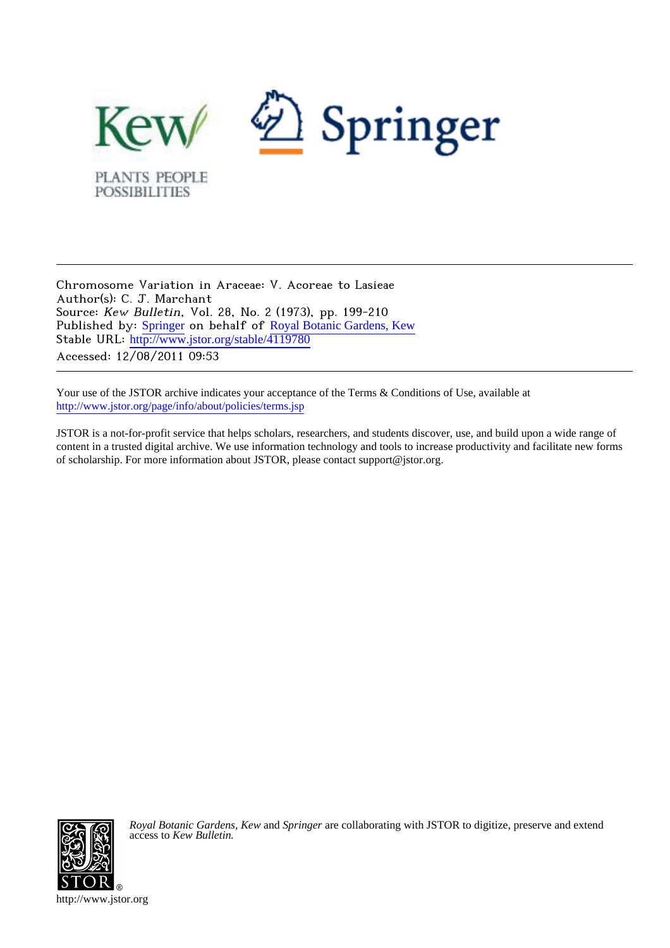

Chromosome Variation in Araceae: V. Acoreae to Lasieae Author(s): C. J. Marchant Source: Kew Bulletin, Vol. 28, No. 2 (1973), pp. 199-210 Published by: [Springer](http://www.jstor.org/action/showPublisher?publisherCode=springer) on behalf of [Royal Botanic Gardens, Kew](http://www.jstor.org/action/showPublisher?publisherCode=kew) Stable URL: [http://www.jstor.org/stable/4119780](http://www.jstor.org/stable/4119780?origin=JSTOR-pdf) Accessed: 12/08/2011 09:53

Your use of the JSTOR archive indicates your acceptance of the Terms & Conditions of Use, available at <http://www.jstor.org/page/info/about/policies/terms.jsp>

JSTOR is a not-for-profit service that helps scholars, researchers, and students discover, use, and build upon a wide range of content in a trusted digital archive. We use information technology and tools to increase productivity and facilitate new forms of scholarship. For more information about JSTOR, please contact support@jstor.org.



*Royal Botanic Gardens, Kew* and *Springer* are collaborating with JSTOR to digitize, preserve and extend access to *Kew Bulletin.*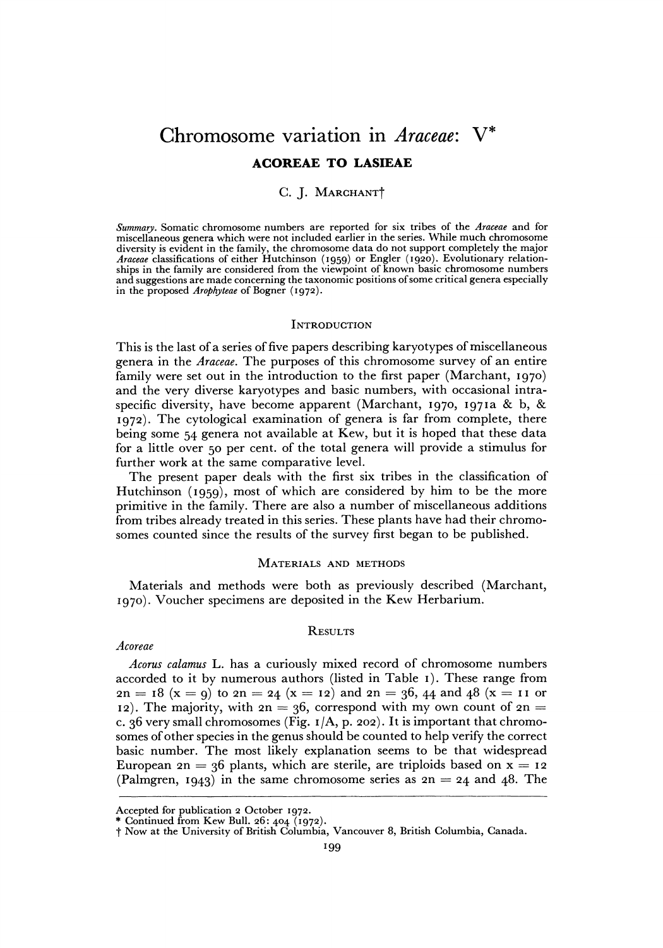# **Chromosome variation in Araceae: V\* ACOREAE TO LASIEAE**

#### **C. J. MARCHANTt**

**Summary. Somatic chromosome numbers are reported for six tribes of the Araceae and for miscellaneous genera which were not included earlier in the series. While much chromosome diversity is evident in the family, the chromosome data do not support completely the major Araceae classifications of either Hutchinson (1959) or Engler (i920). Evolutionary relationships in the family are considered from the viewpoint of known basic chromosome numbers and suggestions are made concerning the taxonomic positions of some critical genera especially in the proposed Arophyteae of Bogner (1972).** 

#### **INTRODUCTION**

**This is the last of a series of five papers describing karyotypes of miscellaneous genera in the Araceae. The purposes of this chromosome survey of an entire family were set out in the introduction to the first paper (Marchant, 1970) and the very diverse karyotypes and basic numbers, with occasional intraspecific diversity, have become apparent (Marchant, 1970, I97Ia & b, & 1972). The cytological examination of genera is far from complete, there being some 54 genera not available at Kew, but it is hoped that these data for a little over 50 per cent. of the total genera will provide a stimulus for further work at the same comparative level.** 

**The present paper deals with the first six tribes in the classification of Hutchinson (1959), most of which are considered by him to be the more primitive in the family. There are also a number of miscellaneous additions from tribes already treated in this series. These plants have had their chromosomes counted since the results of the survey first began to be published.** 

#### **MATERIALS AND METHODS**

**Materials and methods were both as previously described (Marchant, 1970). Voucher specimens are deposited in the Kew Herbarium.** 

#### **RESULTS**

#### **Acoreae**

**Acorus calamus L. has a curiously mixed record of chromosome numbers accorded to it by numerous authors (listed in Table I). These range from**   $2n = 18$  (x = 9) to  $2n = 24$  (x = 12) and  $2n = 36$ , 44 and 48 (x = 11 or 12). The majority, with  $2n = 36$ , correspond with my own count of  $2n =$ **c. 36 very small chromosomes (Fig. I/A, p. 202). It is important that chromosomes of other species in the genus should be counted to help verify the correct basic number. The most likely explanation seems to be that widespread**  European  $2n = 36$  plants, which are sterile, are triploids based on  $x = 12$ (Palmgren, 1943) in the same chromosome series as  $2n = 24$  and  $48$ . The

**Accepted for publication 2 October 1972. \* Continued from Kew Bull. 26: 404 (1972).** 

**t Now at the University of British Columbia, Vancouver 8, British Columbia, Canada.**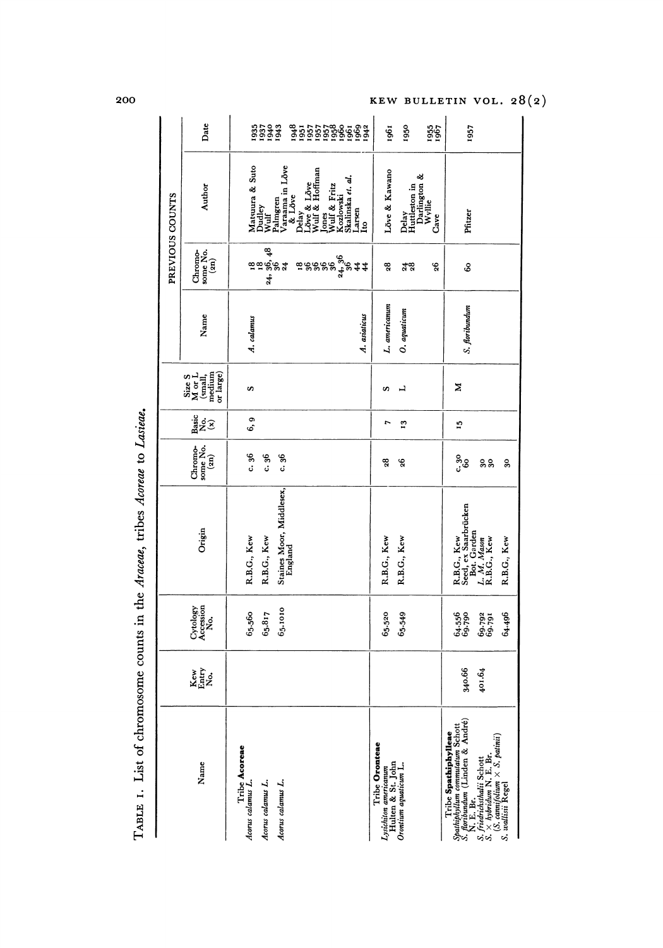| $\sim$ $\sim$ $\sim$                                |
|-----------------------------------------------------|
|                                                     |
| a twing lanes                                       |
|                                                     |
|                                                     |
|                                                     |
|                                                     |
|                                                     |
| - 1 ist of chromosome counts in the Araceae, triper |
|                                                     |
|                                                     |
|                                                     |
| $\frac{1}{2}$<br>I                                  |

|                 | Date                                                                                                             |                                    | <b>5533</b>                              |                                     | <b>85555886888</b><br>85555688888                |                                                         |                          | 1961                                                         | 1950                                             | 1967<br>1967 | 1957                                                                                                                                                                          |        |             |
|-----------------|------------------------------------------------------------------------------------------------------------------|------------------------------------|------------------------------------------|-------------------------------------|--------------------------------------------------|---------------------------------------------------------|--------------------------|--------------------------------------------------------------|--------------------------------------------------|--------------|-------------------------------------------------------------------------------------------------------------------------------------------------------------------------------|--------|-------------|
| PREVIOUS COUNTS | Author                                                                                                           |                                    | Matsuura & Suto<br>Dudley<br>Wulf        | Palmgren<br>Varaama in Lõve         | Delay<br>Löve & Lõve<br>Wulf & Hoffman<br>& Löve | Jones<br>Wulf & Fritz<br>Kozlowski<br>Skalinska et. af. | $_{1to}^{\text{Larsen}}$ | Love & Kawano                                                | Delay<br>Huttleston in<br>Darlington &<br>Wyllie | Cave         | Pfitzer                                                                                                                                                                       |        |             |
|                 | Chromosone No.<br>some No.<br>$(2n)$                                                                             |                                    | ಇ<br><u>៙៙</u> ៙ૢ <sup>૽</sup> ૢૢ<br>24, |                                     |                                                  | ៑<br>ឨៜៜៜៜ៓៓៹៓ៜ                                         |                          | 28                                                           | $\frac{48}{28}$                                  | 8            | S                                                                                                                                                                             |        |             |
|                 | Name                                                                                                             | A. calamus                         |                                          |                                     |                                                  |                                                         | A. asiaticus             | L. americanum                                                | O. aquaticum                                     |              | S. floribundum                                                                                                                                                                |        |             |
|                 | $\begin{array}{l} {\bf Size\ S}\\ {\bf M\ or\ L}\\ {\bf (small,\\ mean\\ mean\\ mean\\ \end{array}$<br>or large) | S                                  |                                          |                                     |                                                  |                                                         |                          | S                                                            | ⊣                                                |              | Z                                                                                                                                                                             |        |             |
|                 | $\frac{\text{Basic}}{\text{No}}$                                                                                 | ō<br>- 5                           |                                          |                                     |                                                  |                                                         |                          | r                                                            | 13                                               |              | Ľ,                                                                                                                                                                            |        |             |
|                 | some No.<br>Chromo-<br>$\left( \mathbf{a}\mathbf{n}\right)$                                                      | c.36                               | c.36                                     | c. 36                               |                                                  |                                                         |                          | 28                                                           | 26                                               |              | ಀೢೢಁ                                                                                                                                                                          | ន្ល    | 30          |
|                 | Origin                                                                                                           | R.B.G., Kew                        | R.B.G., Kew                              | Staines Moor, Middlesex,<br>England |                                                  |                                                         |                          | R.B.G., Kew                                                  | R.B.G., Kew                                      |              | R.B.G., Kew<br>Seed, ex Saarbrücken<br>Bot. Garden<br>L. M. Masm<br>R.B.G., Kew                                                                                               |        | R.B.G., Kew |
|                 | Accession<br>No.<br>Cytology                                                                                     | 65.560                             | 65.817                                   | 65.1010                             |                                                  |                                                         |                          | 65.520                                                       | 65.549                                           |              | 64.556<br>69.790                                                                                                                                                              | 69.792 | 64.496      |
|                 | Kew<br>Entry<br>No.                                                                                              |                                    |                                          |                                     |                                                  |                                                         |                          |                                                              |                                                  |              | 340.66                                                                                                                                                                        | 401.64 |             |
|                 | Name                                                                                                             | Tribe Acoreae<br>Acorus calamus L. | Acorus calamus L.                        | Acorus calamus L.                   |                                                  |                                                         |                          | Tribe Oronteae<br>Lysichilon americanum<br>Hulten & St. John | Oronium aquaticum L.                             |              | Spathighyllian commutation Schott<br>S. furthermation (Linden & André)<br>S. friedrichsthalli Schott<br>S. × hybridian N. E. Br.<br>S. vallisti Regel<br>Tribe Spathiphylleae |        |             |

200

KEW BULLETIN VOL. 28(2)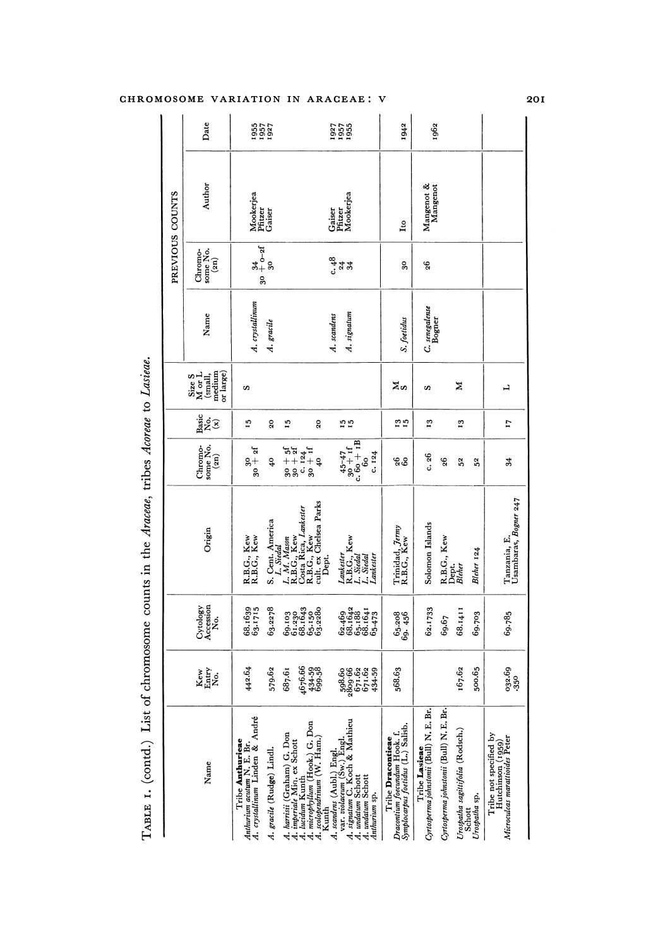| TABLE 1. (contd.) List                                                                                       |                                              |                               | of chromosome counts in the Araceae, tribes Acoreae to Lasieae.         |                                                                          |                |                                                                         |                            |                                        |                                |                      |
|--------------------------------------------------------------------------------------------------------------|----------------------------------------------|-------------------------------|-------------------------------------------------------------------------|--------------------------------------------------------------------------|----------------|-------------------------------------------------------------------------|----------------------------|----------------------------------------|--------------------------------|----------------------|
|                                                                                                              |                                              |                               |                                                                         |                                                                          |                |                                                                         |                            |                                        | PREVIOUS COUNTS                |                      |
| Name                                                                                                         | Kew<br>Entry<br>No.                          | Accession<br>Cytology<br>ż.   | Origin                                                                  | some No.<br>Chromo-<br>$\left( \frac{2}{2} \right)$                      | Basic<br>żê    | medium<br>$\frac{\text{Size S}}{\text{M or L}}$<br>or large)<br>(small, | Name                       | some No.<br>$\binom{2n}{ }$<br>Chromo- | Author                         | Date                 |
| Anthurium acutum N. E. Br.<br>A. crystallinum Linden & André<br>Tribe Anthurieae                             | 442.64                                       | 68.1639<br>63.1715            | R.B.G., Kew<br>R.B.G., Kew                                              | ۵f<br>$30 +$                                                             | 15             | S                                                                       | A. crystallinum            | 9                                      | Mookerjea<br>Pfitzer<br>Gaiser | 1955<br>1957<br>1927 |
| A. gracile (Rudge) Lindl.                                                                                    | 579.62                                       | 63.2278                       | S. Cent. America<br>L. Siedal                                           | $\frac{1}{4}$                                                            | $\overline{6}$ |                                                                         | A. gracile                 | $^{34}_{+0-21}$                        |                                |                      |
| A. harrisii (Graham) G. Don<br>A. imperiale Mio. ex Schott<br>A. lucidum Kunth                               | 687.61                                       | 69.103<br>61.230<br>68.1643   | L. M. Mason<br>R.B.G., Kew                                              |                                                                          | $\overline{1}$ |                                                                         |                            |                                        |                                |                      |
| A. microphyllum (Hook.) G. Don<br>A. scolopendrinum (W. Ham.)<br>Kunth                                       | 1676.66<br>434.59<br>699.58                  | $65.150$<br>$63.2380$         | cult. ex Chelsea Parks<br>Costa Rica, Lankester<br>R.B.G., Kew<br>Dept. | $\begin{array}{l} 57 \\ 30 \\ -124 \\ -124 \\ -124 \\ 40 \\ \end{array}$ | $_{20}$        |                                                                         |                            |                                        |                                |                      |
| A. signatum C. Koch & Mathieu<br>A. undatum Schott<br>A. scandens (Aubl.) Engl.<br>var. violaceum (Sw.) Engl | $398.66$<br>$699.66$<br>$671.62$<br>$671.62$ | 68.1642<br>68.1642<br>68.1641 | R.B.G., Kew<br>L. Stedal<br>L. Stedal<br>Lankester                      | $\overline{c}$ 60 + $\overline{1B}$<br>$30 + if$<br>30 + If              | 55             |                                                                         | A. signatum<br>A. scandens | ्रु<br>दुवस्र                          | Pfitzer<br>Mookerjea<br>Gaiser | 1937<br>1957<br>1955 |
| A. undatum Schott<br>Anthurium sp.                                                                           | 434-59                                       | 65.473                        | Lankester                                                               | c.124<br>Ŝ,                                                              |                |                                                                         |                            |                                        |                                |                      |
| Dracontium foecundum Hook. f.<br>Symplocarpus foetidus (L.) Salisb.<br><b>Tribe Dracontieae</b>              | 568.63                                       | $65.208$<br>$69.456$          | Trinidad, <i>Jermy</i><br>R.B.G., Kew                                   | 88                                                                       | $\frac{1}{2}$  | ≍∞                                                                      | S. foetidus                | 30                                     | Lto                            | 1942                 |
| Tribe Lasieae<br>Cyrtosperma johnstonii (Bull) N. E. Br.                                                     |                                              | 62.1733                       | Solomon Islands                                                         | c.26                                                                     | $\mathbf{r}_3$ | S                                                                       | C. senegalense<br>Bogner   | 96                                     | Mangenot &<br>Mangenot         | 1962                 |
| Cyrtosperma johnstonii (Bull) N. E. Br.                                                                      |                                              | 69.67                         | R.B.G., Kew<br>Dept.<br>Bleher                                          | 26                                                                       |                |                                                                         |                            |                                        |                                |                      |
| Urospatha sagittifolia (Rodsch.)<br>Schott                                                                   | 167.62                                       | 68.1411                       |                                                                         | 52                                                                       | $\mathbf{r}$   | Z                                                                       |                            |                                        |                                |                      |
| Urospatha sp.                                                                                                | 500.65                                       | 69.703                        | Bleher 124                                                              | 52                                                                       |                |                                                                         |                            |                                        |                                |                      |
| Tribe not specified by<br>Hutchinson (1959)<br>Microculcas marattioides Peter                                | 032.69<br>.350                               | 69.785                        | Tanzania, E.<br>Usambaras <i>, Bogner</i> 247                           | $\overline{34}$                                                          | 17             | ᆜ                                                                       |                            |                                        |                                |                      |
|                                                                                                              |                                              |                               |                                                                         |                                                                          |                |                                                                         |                            |                                        |                                |                      |

## CHROMOSOME VARIATION IN ARACEAE: V

201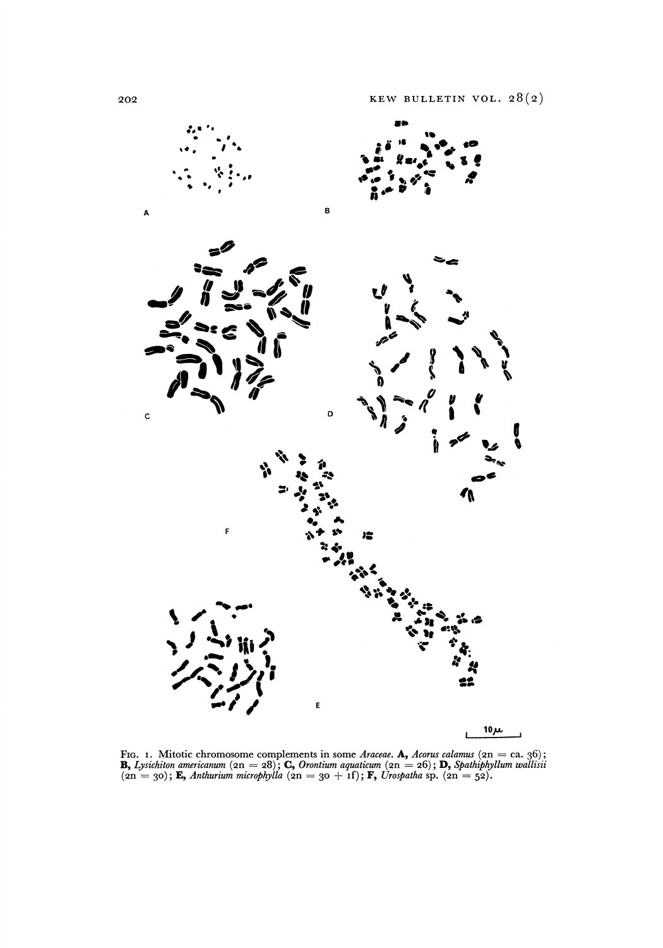

FIG. 1. Mitotic chromosome complements in some Araceae. **A**, Acorus calamus (2n = ca. 36);<br>**B**, Lysichiton americanum (2n = 28); **C**, Orontium aquaticum (2n = 26); **D**, Spathiphyllum wallisii  $(2n = 30)$ ; **E**, Anthurium microphylla  $(2n = 30 + 1)$ ; **F**, Urospatha sp.  $(2n = 52)$ .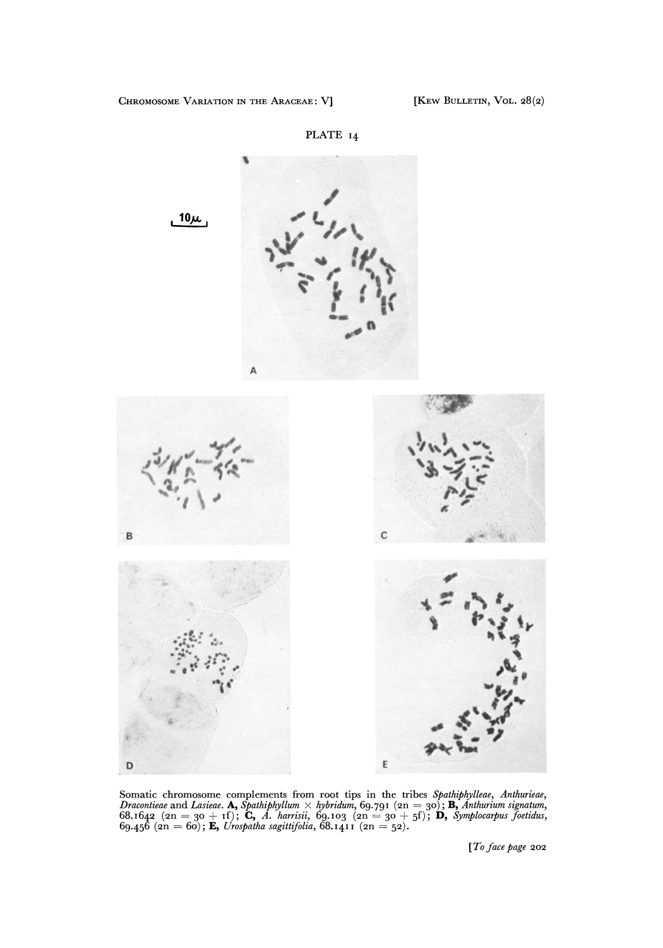



Somatic chromosome complements from root tips in the tribes *Spathiphylleae*, Anthurieae, Dracontieae and Lasieae. **A**, Spathiphyllum  $\times$  hybridum, 69.791 ( $2n = 30$ ); **B**, Anthurium signatum, 68.1642 ( $2n = 30 + if$ ); **C**, A

**[To face page 202**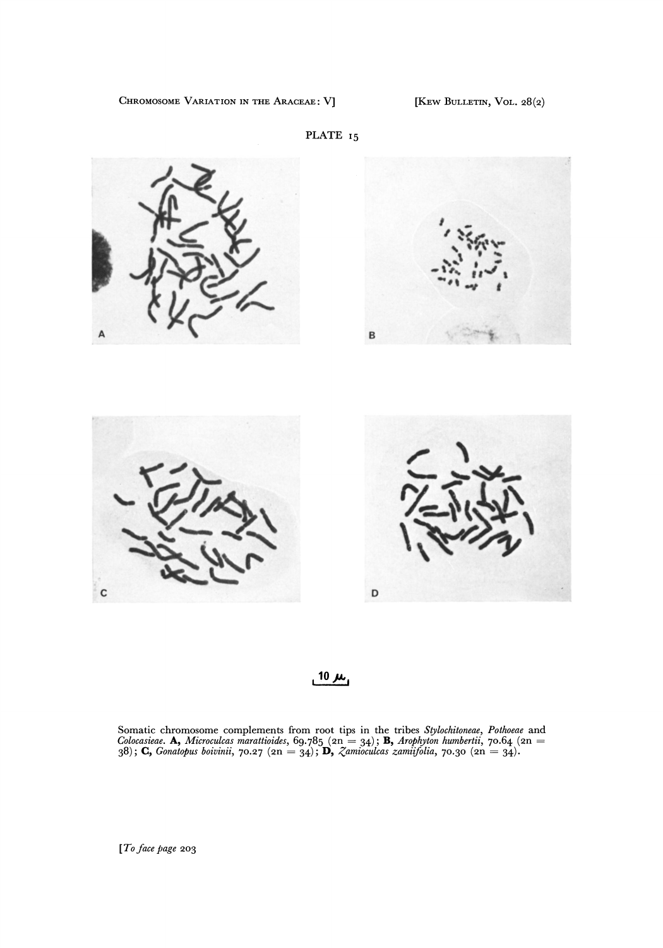CHROMOSOME VARIATION IN THE ARACEAE: V] [KEW BULLETIN, VOL. 28(2)





 $10 \mu$ 

D

**Somatic chromosome complements from root tips in the tribes Stylochitoneae, Pothoeae and Colocasieae. A, Microculcas marattioides, 69-785 (2n = 34); B, Arophyton humbertii, 70.64 (2n = 38); C, Gonatopus boivinii, 70.27 (2n = 34); D, Zamioculcas zamiifolia, 70.30 (2n = 34)-** 

**[To face page 203** 

C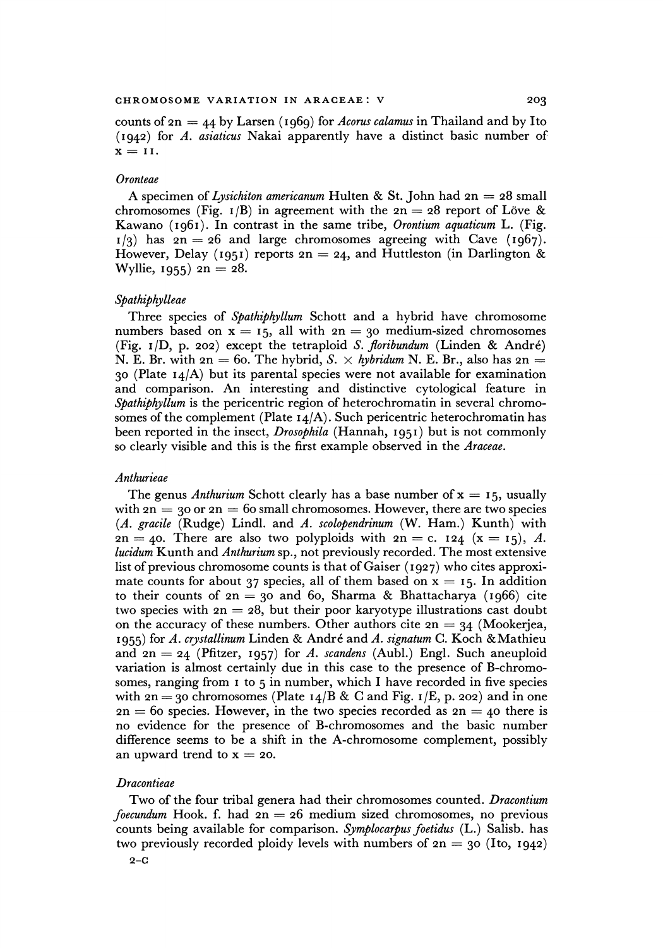**counts of 2n = 44 by Larsen (1969) for Acorus calamus in Thailand and by Ito (I942) for A. asiaticus Nakai apparently have a distinct basic number of**   $x = II.$ 

#### **Oronteae**

**A specimen of Lysichiton americanum Hulten & St. John had 2n = 28 small**  chromosomes (Fig.  $I/B$ ) in agreement with the  $2n = 28$  report of Löve & **Kawano (I96I). In contrast in the same tribe, Orontium aquaticum L. (Fig.**   $1/3$  has  $2n = 26$  and large chromosomes agreeing with Cave ( $1967$ ). **However, Delay (1951) reports 2n = 24, and Huttleston (in Darlington & Wyllie, 1955)**  $2n = 28$ .

#### **Spathiphylleae**

**Three species of Spathiphyllum Schott and a hybrid have chromosome**  numbers based on  $x = 15$ , all with  $2n = 30$  medium-sized chromosomes **(Fig. I/D, p. 202) except the tetraploid S. floribundum (Linden & Andre) N. E. Br. with 2n = 60. The hybrid, S.**  $\times$  hybridum N. E. Br., also has  $2n =$ **<sup>30</sup>(Plate I4/A) but its parental species were not available for examination and comparison. An interesting and distinctive cytological feature in Spathiphyllum is the pericentric region of heterochromatin in several chromosomes of the complement (Plate I4/A). Such pericentric heterochromatin has been reported in the insect, Drosophila (Hannah, 1951) but is not commonly so clearly visible and this is the first example observed in the Araceae.** 

#### **Anthurieae**

The genus *Anthurium* Schott clearly has a base number of  $x = 15$ , usually with  $2n = 30$  or  $2n = 60$  small chromosomes. However, there are two species **(A. gracile (Rudge) Lindl. and A. scolopendrinum (W. Ham.) Kunth) with**   $2n = 40$ . There are also two polyploids with  $2n = c$ . **124**  $(x = 15)$ , A. **lucidum Kunth and Anthurium sp., not previously recorded. The most extensive list of previous chromosome counts is that of Gaiser (1927) who cites approxi**mate counts for about 37 species, all of them based on  $x = 15$ . In addition **- to their counts of 2n = 30 and 6o, Sharma & Bhattacharya (1966) cite**  two species with  $2n = 28$ , but their poor karyotype illustrations cast doubt on the accuracy of these numbers. Other authors cite  $2n = 34$  (Mookerjea, **1955) for A. crystallinum Linden & Andr6 and A. signatum C. Koch &Mathieu and 2n = 24 (Pfitzer, 1957) for A. scandens (Aubl.) Engl. Such aneuploid variation is almost certainly due in this case to the presence of B-chromosomes, ranging from I to 5 in number, which I have recorded in five species**  with  $2n = 30$  chromosomes (Plate  $14/B \& C$  and Fig.  $1/E$ , p. 202) and in one  $2n = 60$  species. However, in the two species recorded as  $2n = 40$  there is **no evidence for the presence of B-chromosomes and the basic number difference seems to be a shift in the A-chromosome complement, possibly**  an upward trend to  $x = 20$ .

#### **Dracontieae**

**Two of the four tribal genera had their chromosomes counted. Dracontium foecundum Hook. f. had 2n = 26 medium sized chromosomes, no previous**  counts being available for comparison. Symplocarpus foetidus (L.) Salisb. has **two previously recorded ploidy levels with numbers of 2n = 30 (Ito, I942)**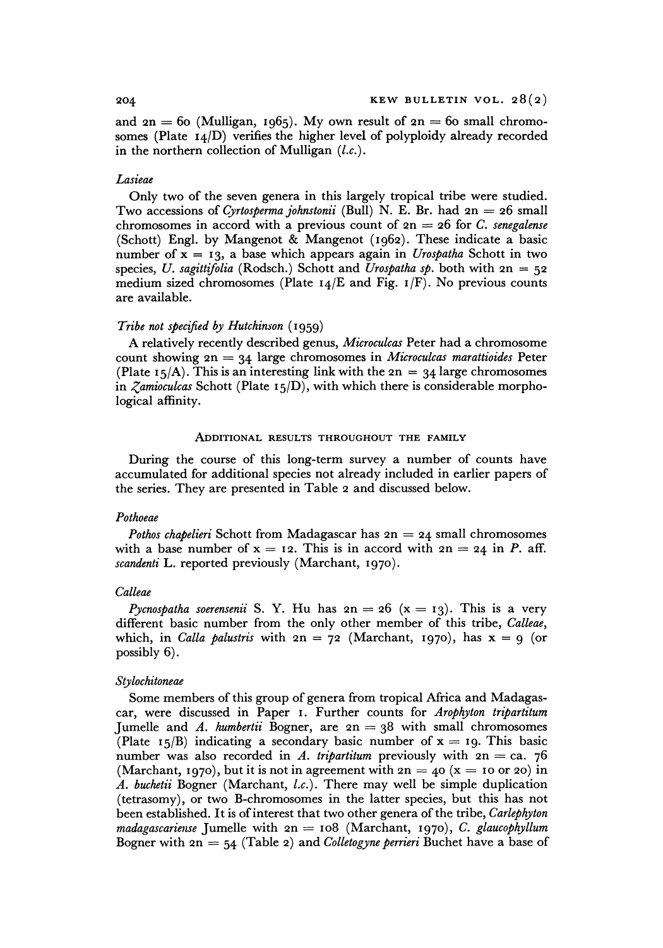and  $2n = 60$  (Mulligan, 1965). My own result of  $2n = 60$  small chromo**somes (Plate 14/D) verifies the higher level of polyploidy already recorded**  in the northern collection of Mulligan (*l.c.*).

#### **Lasieae**

**Only two of the seven genera in this largely tropical tribe were studied. Two accessions of Cyrtosperma johnstonii (Bull) N. E. Br. had 2n = 26 small**  chromosomes in accord with a previous count of  $2n = 26$  for C. senegalense **(Schott) Engl. by Mangenot & Mangenot (1962). These indicate a basic**  number of  $x = 13$ , a base which appears again in *Urospatha* Schott in two species, U. sagittifolia (Rodsch.) Schott and Urospatha sp. both with  $2n = 52$ **medium sized chromosomes (Plate I4/E and Fig. I/F). No previous counts are available.** 

#### **Tribe not specified by Hutchinson (i959)**

**A relatively recently described genus, Microculcas Peter had a chromosome count showing 2n = 34 large chromosomes in Microculcas marattioides Peter**  (Plate  $15/A$ ). This is an interesting link with the  $2n = 34$  large chromosomes **in Zamioculcas Schott (Plate 15/D), with which there is considerable morphological affinity.** 

#### **ADDITIONAL RESULTS THROUGHOUT THE FAMILY**

**During the course of this long-term survey a number of counts have accumulated for additional species not already included in earlier papers of the series. They are presented in Table 2 and discussed below.** 

#### **Pothoeae**

**Pothos chapelieri Schott from Madagascar has 2n = 24 small chromosomes**  with a base number of  $x = 12$ . This is in accord with  $2n = 24$  in P. aff. **scandenti L. reported previously (Marchant, 1970).** 

#### **Calleae**

*Pycnospatha soerensenii* S. Y. Hu has  $2n = 26$  ( $x = 13$ ). This is a very **different basic number from the only other member of this tribe, Calleae,**  which, in Calla palustris with  $2n = 72$  (Marchant, 1970), has  $x = 9$  (or **possibly 6).** 

#### **Stylochitoneae**

**Some members of this group of genera from tropical Africa and Madagascar, were discussed in Paper I. Further counts for Arophyton tripartitum Jumelle and A. humbertii Bogner, are 2n = 38 with small chromosomes**  (Plate  $15/B$ ) indicating a secondary basic number of  $x = 19$ . This basic number was also recorded in A. tripartitum previously with  $2n = ca$ . 76 (Marchant, 1970), but it is not in agreement with  $2n = 40$  ( $x = 10$  or 20) in **A. buchetii Bogner (Marchant, l.c.). There may well be simple duplication (tetrasomy), or two B-chromosomes in the latter species, but this has not been established. It is of interest that two other genera of the tribe, Carlephyton madagascariense Jumelle with 2n = Io8 (Marchant, I970), C. glaucophyllum Bogner with an = 54 (Table 2) and Colletogyne perrieri Buchet have a base of**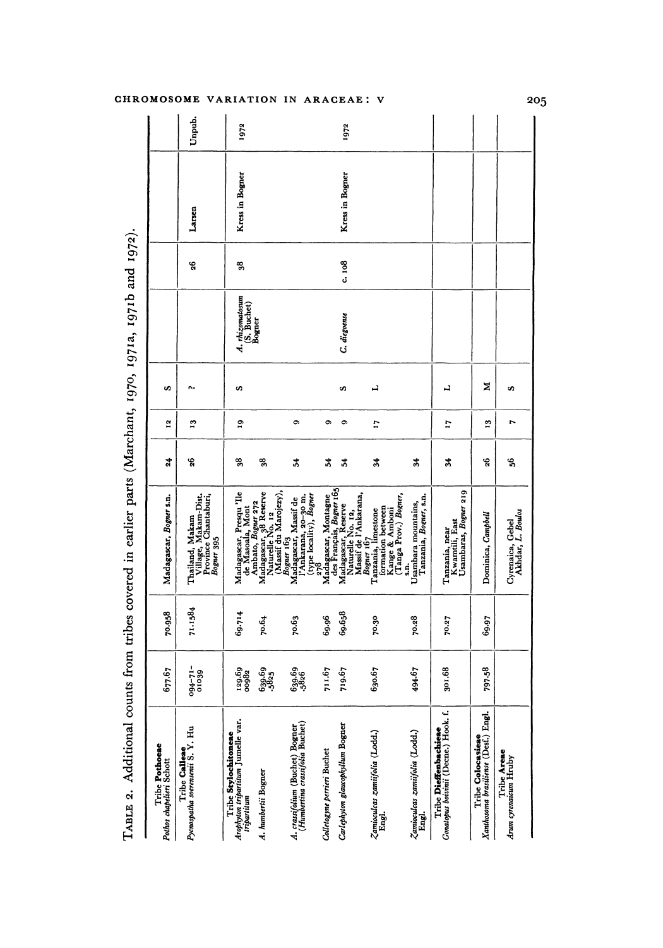|                                                                    |                    |         | TABLE 2. Additional counts from tribes covered in earlier parts (Marchant, 1970, 1971a, 1971b and 1972). |                   |                 |    |                                |       |                 |        |
|--------------------------------------------------------------------|--------------------|---------|----------------------------------------------------------------------------------------------------------|-------------------|-----------------|----|--------------------------------|-------|-----------------|--------|
| Tribe Pothoeae<br>Pothos chapelieri Schott                         | 677.67             | 70.958  | Madagascar, <i>Bogner</i> s.n.                                                                           | 24                | $\tilde{a}$     | S  |                                |       |                 |        |
| Tribe Calleae<br>Pycnospatha soerensenii S. Y. Hu                  | $-11-160$<br>01039 | 71.1584 | Thailand, Makam<br>Village, Makam-Dist.<br>Province Chantaburi,<br>Bogner 395                            | 26                | 13              | e. |                                | 26    | Larsen          | Unpub. |
| Arophyton tripartitum Jumelle var.<br>Tribe Stylochitoneae         | 129.69<br>00982    | 69.714  | Madagascar, Presqu'lle<br>de Masoala, Mont                                                               | 38                | 9               | S  | A. rhizomatosum<br>(S. Buchet) | 38    | Kress in Bogner | 1972   |
| A. humbertii Bogner                                                | 639.69<br>-5825    | 70.64   | Madagascar, 38 Reserve<br>Naturelle No. 12<br>(Massif du Marojezy),<br>Ambato, Bogner 272                | 잉,                |                 |    | Bogner                         |       |                 |        |
| A. crassifolium (Buchet) Bogner<br>(Humbertina crassifolia Buchet) | 639.69<br>-5826    | 70.63   | l'Ankarana, 20-30 m.<br>(type locality), <i>Bogner</i><br>Bogner 163<br>Madagascar, Massif de            | 34                | Ö               |    |                                |       |                 |        |
| Colletogyne perrieri Buchet                                        | 711.67             | 69.96   | Madagascar, Montagne<br>278                                                                              | 24                | Ó               |    |                                |       |                 |        |
| Carlephyton glaucophyllum Bogner                                   | 719.67             | 69.658  | Massif de l'Ankarana,<br>Madagascar, Reserve<br>Naturelle No. 12,                                        | 2                 | Ö               | S  | C. diegoense                   | c.108 | Kress in Bogner | 1972   |
| Zamioculcas zamiifolia (Lodd.)                                     | 630.67             | 70.30   | (Tanga Prov.) Bogner,<br>formation between<br>Kange & Amboni<br>Tanzania, limestone<br>Bogner 167        | $\frac{34}{5}$    | $\overline{11}$ | 니  |                                |       |                 |        |
| Zamioculcas zamiifolia (Lodd.)                                     | 494.67             | 70.28   | Tanzania, Bogner, s.n.<br>Usambara mountains,<br>S.N.                                                    | 34                |                 |    |                                |       |                 |        |
| Gonatopus boivinii (Decne.) Hook. f.<br>Tribe Dieffenbachieae      | 301.68             | 70.27   | Usambaras, Bogner 219<br>Kwamtili, East<br>Tanzania, near                                                | $\boldsymbol{34}$ | L,              | ᅴ  |                                |       |                 |        |
| Xanthosoma brasiliense (Desf.) Engl.<br>Tribe Colocasieae          | 797.58             | 69.97   | Dominica, Campbell                                                                                       | 26                | $\mathbf{r}$    | ≍  |                                |       |                 |        |
| Tribe Areae<br>Arum cyrenaicum Hruby                               |                    |         | Cyrenaica, Gebel<br>Akhdar, L. Boulos                                                                    | ್ಯ                | r               | S, |                                |       |                 |        |
|                                                                    |                    |         |                                                                                                          |                   |                 |    |                                |       |                 |        |

### CHROMOSOME VARIATION IN ARACEAE: V

205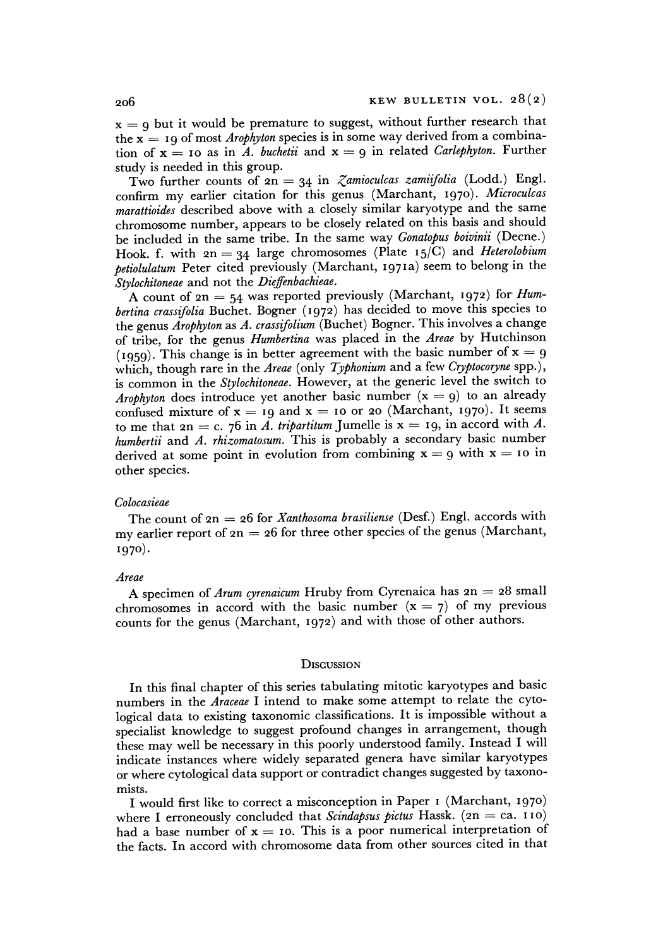$x = 9$  but it would be premature to suggest, without further research that the  $x = 19$  of most *Arophyton* species is in some way derived from a combination of  $x = 10$  as in A. buchetii and  $x = 9$  in related *Carlephyton*. Further **study is needed in this group.** 

Two further counts of  $2n = 34$  in *Zamioculcas zamiifolia* (Lodd.) Engl. **confirm my earlier citation for this genus (Marchant, 1970). Microculcas marattioides described above with a closely similar karyotype and the same chromosome number, appears to be closely related on this basis and should be included in the same tribe. In the same way Gonatopus boivinii (Decne.) Hook. f. with 2n = 34 large chromosomes (Plate I5/C) and Heterolobium petiolulatum Peter cited previously (Marchant, 1971a) seem to belong in the Stylochitoneae and not the Dieffenbachieae.** 

**A count of 2n = 54 was reported previously (Marchant, 1972) for Humbertina crassifolia Buchet. Bogner (1972) has decided to move this species to the genus Arophyton as A. crassifolium (Buchet) Bogner. This involves a change of tribe, for the genus Humbertina was placed in the Areae by Hutchinson**  (1959). This change is in better agreement with the basic number of  $x = 9$ which, though rare in the Areae (only Typhonium and a few Cryptocoryne spp.), **is common in the Stylochitoneae. However, at the generic level the switch to**  Arophyton does introduce yet another basic number  $(x = q)$  to an already confused mixture of  $x = 19$  and  $x = 10$  or 20 (Marchant, 1970). It seems to me that  $2n = c$ . 76 in A. tripartitum Jumelle is  $x = 19$ , in accord with A. **humbertii and A. rhizomatosum. This is probably a secondary basic number**  derived at some point in evolution from combining  $x = 9$  with  $x = 10$  in **other species.** 

#### **Colocasieae**

**The count of 2n = 26 for Xanthosoma brasiliense (Desf.) Engl. accords with my earlier report of 2n = 26 for three other species of the genus (Marchant, 1970).** 

#### **Areae**

**A specimen of Arum cyrenaicum Hruby from Cyrenaica has 2n = 28 small**  chromosomes in accord with the basic number  $(x = 7)$  of my previous **counts for the genus (Marchant, 1972) and with those of other authors.** 

#### **DiscussioN**

**In this final chapter of this series tabulating mitotic karyotypes and basic numbers in the Araceae I intend to make some attempt to relate the cytological data to existing taxonomic classifications. It is impossible without a specialist knowledge to suggest profound changes in arrangement, though these may well be necessary in this poorly understood family. Instead I will indicate instances where widely separated genera have similar karyotypes or where cytological data support or contradict changes suggested by taxonomists.** 

**I would first like to correct a misconception in Paper I (Marchant, 1970)**  where I erroneously concluded that *Scindapsus pictus* Hassk.  $(an = ca. 110)$ had a base number of  $x = 10$ . This is a poor numerical interpretation of **the facts. In accord with chromosome data from other sources cited in that**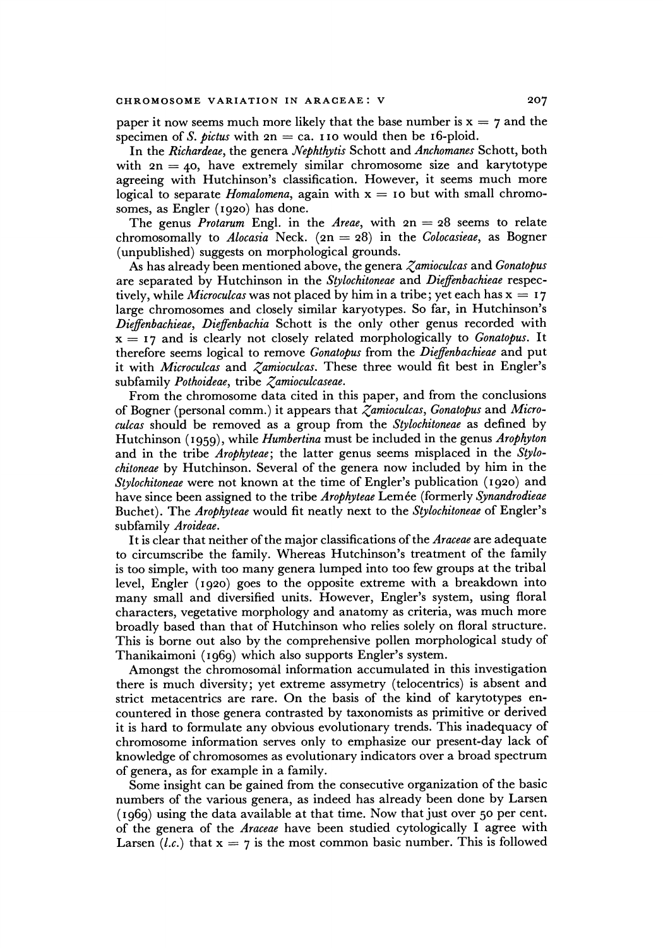**paper it now seems much more likely that the base number is**  $x = 7$  **and the** specimen of *S. pictus* with  $2n = ca$ . **110** would then be 16-ploid.

**In the Richardeae, the genera Nephthytis Schott and Anchomanes Schott, both with 2n = 40, have extremely similar chromosome size and karytotype agreeing with Hutchinson's classification. However, it seems much more logical to separate Homalomena, again with x = 1o but with small chromosomes, as Engler (1920) has done.** 

The genus *Protarum* Engl. in the *Areae*, with  $2n = 28$  seems to relate chromosomally to *Alocasia* Neck.  $(2n = 28)$  in the *Colocasieae*, as Bogner **(unpublished) suggests on morphological grounds.** 

**As has already been mentioned above, the genera Zamioculcas and Gonatopus are separated by Hutchinson in the Stylochitoneae and Dieffenbachieae respec**tively, while *Microculcas* was not placed by him in a tribe; yet each has  $x = 17$ **large chromosomes and closely similar karyotypes. So far, in Hutchinson's Dieffenbachieae, Dieffenbachia Schott is the only other genus recorded with**   $x = 17$  and is clearly not closely related morphologically to *Gonatopus*. It **therefore seems logical to remove Gonatopus from the Dieffenbachieae and put it with Microculcas and Zamioculcas. These three would fit best in Engler's subfamily Pothoideae, tribe Zamioculcaseae.** 

**From the chromosome data cited in this paper, and from the conclusions of Bogner (personal comm.) it appears that Zamioculcas, Gonatopus and Microculcas should be removed as a group from the Stylochitoneae as defined by Hutchinson ( 959), while Humbertina must be included in the genus Arophyton and in the tribe Arophyteae; the latter genus seems misplaced in the Stylochitoneae by Hutchinson. Several of the genera now included by him in the Stylochitoneae were not known at the time of Engler's publication (1920) and**  have since been assigned to the tribe *Arophyteae* Lemée (formerly *Synandrodieae* **Buchet). The Arophyteae would fit neatly next to the Stylochitoneae of Engler's subfamily Aroideae.** 

**It is clear that neither of the major classifications of the Araceae are adequate to circumscribe the family. Whereas Hutchinson's treatment of the family is too simple, with too many genera lumped into too few groups at the tribal level, Engler (1920) goes to the opposite extreme with a breakdown into many small and diversified units. However, Engler's system, using floral characters, vegetative morphology and anatomy as criteria, was much more broadly based than that of Hutchinson who relies solely on floral structure. This is borne out also by the comprehensive pollen morphological study of Thanikaimoni (1969) which also supports Engler's system.** 

**Amongst the chromosomal information accumulated in this investigation there is much diversity; yet extreme assymetry (telocentrics) is absent and strict metacentrics are rare. On the basis of the kind of karytotypes encountered in those genera contrasted by taxonomists as primitive or derived it is hard to formulate any obvious evolutionary trends. This inadequacy of chromosome information serves only to emphasize our present-day lack of knowledge of chromosomes as evolutionary indicators over a broad spectrum of genera, as for example in a family.** 

**Some insight can be gained from the consecutive organization of the basic numbers of the various genera, as indeed has already been done by Larsen (1969) using the data available at that time. Now that just over 50 per cent. of the genera of the Araceae have been studied cytologically I agree with**  Larsen (*l.c.*) that  $x = 7$  is the most common basic number. This is followed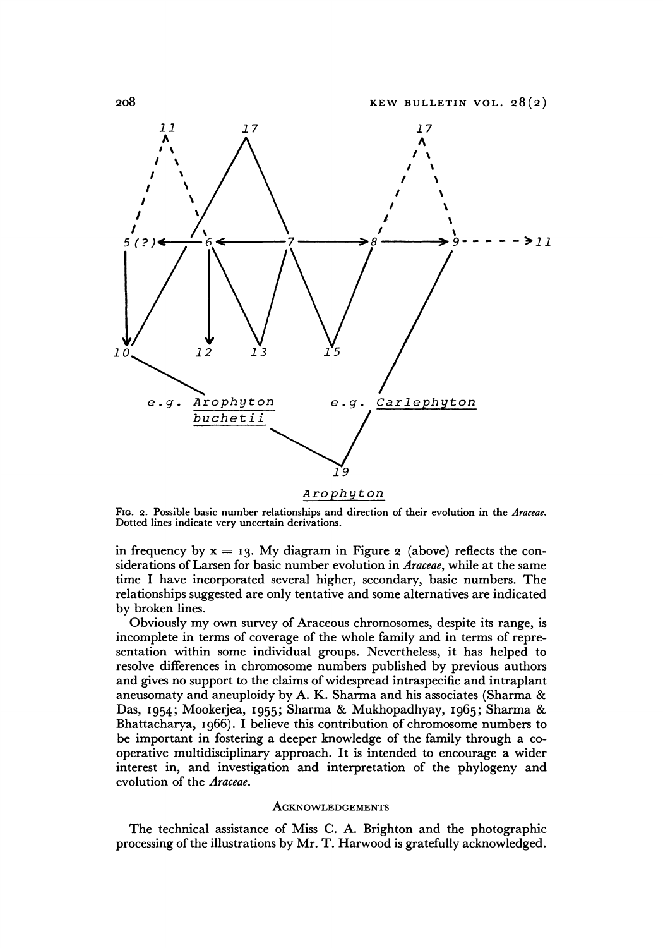

#### **Arophyton**

**FIG. 2. Possible basic number relationships and direction of their evolution in the Araceae. Dotted lines indicate very uncertain derivations.** 

in frequency by  $x = 13$ . My diagram in Figure 2 (above) reflects the con**siderations of Larsen for basic number evolution in Araceae, while at the same time I have incorporated several higher, secondary, basic numbers. The relationships suggested are only tentative and some alternatives are indicated by broken lines.** 

**Obviously my own survey of Araceous chromosomes, despite its range, is incomplete in terms of coverage of the whole family and in terms of representation within some individual groups. Nevertheless, it has helped to resolve differences in chromosome numbers published by previous authors and gives no support to the claims of widespread intraspecific and intraplant aneusomaty and aneuploidy by A. K. Sharma and his associates (Sharma & Das, 1954; Mookerjea, 1955; Sharma & Mukhopadhyay, 1965; Sharma & Bhattacharya, 1966). I believe this contribution of chromosome numbers to be important in fostering a deeper knowledge of the family through a cooperative multidisciplinary approach. It is intended to encourage a wider interest in, and investigation and interpretation of the phylogeny and evolution of the Araceae.** 

#### **ACKNOWLEDGEMENTS**

**The technical assistance of Miss C. A. Brighton and the photographic processing of the illustrations by Mr. T. Harwood is gratefully acknowledged.**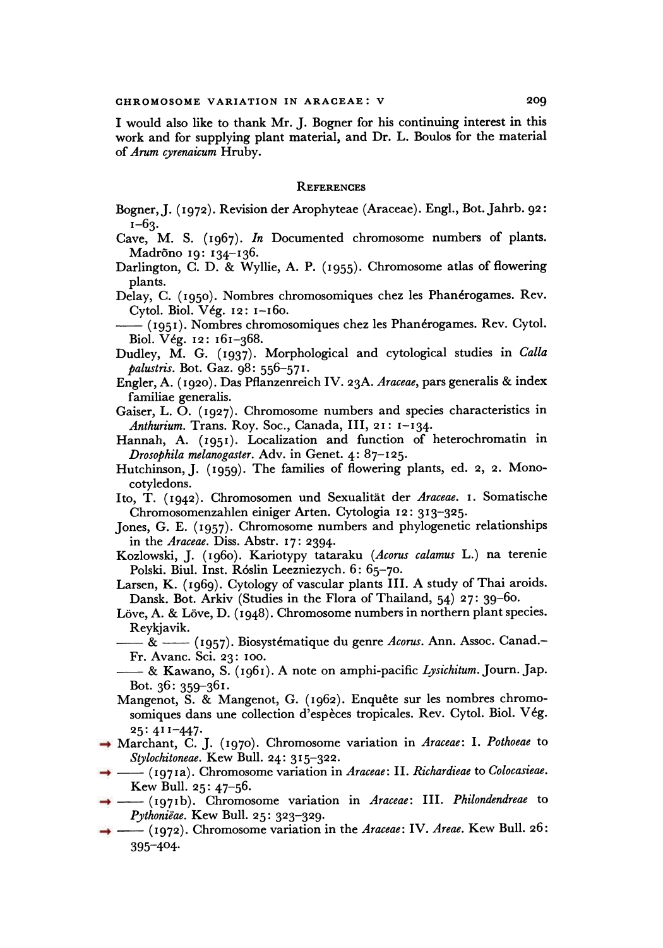**I would also like to thank Mr. J. Bogner for his continuing interest in this work and for supplying plant material, and Dr. L. Boulos for the material of Arum cyrenaicum Hruby.** 

#### **REFERENCES**

- **Bogner, J. (1972). Revision der Arophyteae (Araceae). Engl., Bot. Jahrb. 92: 1-63-**
- **Cave, M. S. (1967). In Documented chromosome numbers of plants. Madrano I9: 134-136.**
- **Darlington, C. D. & Wyllie, A. P. (1955). Chromosome atlas of flowering plants.**
- **Delay, C. (1950). Nombres chromosomiques chez les Phandrogames. Rev. Cytol. Biol. Veg. 12: 1-i60.**
- **(1951). Nombres chromosomiques chez les Phandrogames. Rev. Cytol. Biol. Veg. I2: 161-368.**
- **Dudley, M. G. (1937). Morphological and cytological studies in Calla palustris. Bot. Gaz. 98: 556-571.**
- **Engler, A. (1920). Das Pflanzenreich IV. 23A. Araceae, pars generalis & index familiae generalis.**
- **Gaiser, L. 0. (1927). Chromosome numbers and species characteristics in Anthurium. Trans. Roy. Soc., Canada, III, 21: 1-134.**
- **Hannah, A. (1951). Localization and function of heterochromatin in Drosophila melanogaster. Adv. in Genet. 4: 87-125.**
- Hutchinson, J. (1959). The families of flowering plants, ed. 2, 2. Mono**cotyledons.**
- **Ito, T. (1942). Chromosomen und Sexualitat der Araceae. I. Somatische Chromosomenzahlen einiger Arten. Cytologia 12: 313-325.**
- **Jones, G. E. (1957). Chromosome numbers and phylogenetic relationships in the Araceae. Diss. Abstr. 17: 2394-**
- **Kozlowski, J. (I960). Kariotypy tataraku (Acorus calamus L.) na terenie Polski. Biul. Inst. R6slin Leezniezych. 6: 65-70.**
- **Larsen, K. (1969). Cytology of vascular plants III. A study of Thai aroids. Dansk. Bot. Arkiv (Studies in the Flora of Thailand, 54) 27: 39-60.**
- Löve, A. & Löve, D. (1948). Chromosome numbers in northern plant species. **Reykjavik.**
- **& (1957). Biosystematique du genre Acorus. Ann. Assoc. Canad.- Fr. Avanc. Sci. 23: 1oo.**
- **& Kawano, S. (1961). A note on amphi-pacific Lysichitum. Journ. Jap. Bot. 36: 359-361.**
- Mangenot, S. & Mangenot, G. (1962). Enquête sur les nombres chromosomiques dans une collection d'espèces tropicales. Rev. Cytol. Biol. Vég. **25: 411-447.**
- **Marchant, C. J. (1970). Chromosome variation in Araceae: I. Pothoeae to Stylochitoneae. Kew Bull. 24: 315-322.**
- **(1971a). Chromosome variation in Araceae: II. Richardieae to Colocasieae. Kew Bull. 25: 47-56.**
- **(i97 Ib). Chromosome variation in Araceae: III. Philondendreae to Pythonicae. Kew Bull. 25: 323-329.**
- **(1972). Chromosome variation in the Araceae: IV. Areae. Kew Bull. 26: 395-404?**